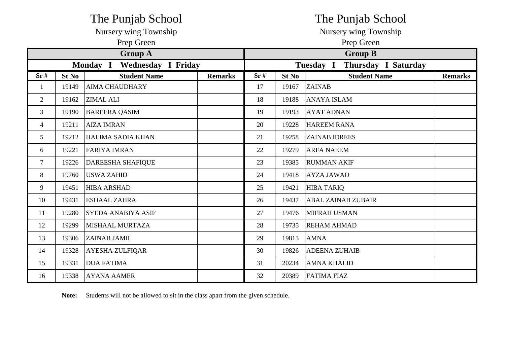|                |              | The Punjab School                            |                | The Punjab School |       |                                  |                |  |  |
|----------------|--------------|----------------------------------------------|----------------|-------------------|-------|----------------------------------|----------------|--|--|
|                |              | Nursery wing Township                        |                |                   |       | Nursery wing Township            |                |  |  |
|                |              | Prep Green                                   |                | Prep Green        |       |                                  |                |  |  |
|                |              | <b>Group A</b>                               |                |                   |       | <b>Group B</b>                   |                |  |  |
|                |              | <b>Monday I</b><br><b>Wednesday I Friday</b> |                |                   |       | Thursday I Saturday<br>Tuesday I |                |  |  |
| Sr#            | <b>St No</b> | <b>Student Name</b>                          | <b>Remarks</b> | Sr#               | St No | <b>Student Name</b>              | <b>Remarks</b> |  |  |
| $\mathbf{1}$   | 19149        | <b>AIMA CHAUDHARY</b>                        |                | 17                | 19167 | <b>ZAINAB</b>                    |                |  |  |
| $\overline{2}$ | 19162        | <b>ZIMAL ALI</b>                             |                | 18                | 19188 | <b>ANAYA ISLAM</b>               |                |  |  |
| 3              | 19190        | <b>BAREERA QASIM</b>                         |                | 19                | 19193 | <b>AYAT ADNAN</b>                |                |  |  |
| 4              | 19211        | <b>AIZA IMRAN</b>                            |                | 20                | 19228 | <b>HAREEM RANA</b>               |                |  |  |
| $5^{\circ}$    | 19212        | HALIMA SADIA KHAN                            |                | 21                | 19258 | <b>ZAINAB IDREES</b>             |                |  |  |
| 6              | 19221        | <b>FARIYA IMRAN</b>                          |                | 22                | 19279 | <b>ARFA NAEEM</b>                |                |  |  |
| $\overline{7}$ | 19226        | <b>DAREESHA SHAFIQUE</b>                     |                | 23                | 19385 | <b>RUMMAN AKIF</b>               |                |  |  |
| 8              | 19760        | <b>USWA ZAHID</b>                            |                | 24                | 19418 | <b>AYZA JAWAD</b>                |                |  |  |
| 9              | 19451        | <b>HIBA ARSHAD</b>                           |                | 25                | 19421 | <b>HIBA TARIQ</b>                |                |  |  |
| 10             | 19431        | <b>ESHAAL ZAHRA</b>                          |                | 26                | 19437 | <b>ABAL ZAINAB ZUBAIR</b>        |                |  |  |
| 11             | 19280        | <b>SYEDA ANABIYA ASIF</b>                    |                | 27                | 19476 | <b>MIFRAH USMAN</b>              |                |  |  |
| 12             | 19299        | MISHAAL MURTAZA                              |                | 28                | 19735 | <b>REHAM AHMAD</b>               |                |  |  |
| 13             | 19306        | <b>ZAINAB JAMIL</b>                          |                | 29                | 19815 | <b>AMNA</b>                      |                |  |  |
| 14             | 19328        | <b>AYESHA ZULFIQAR</b>                       |                | 30                | 19826 | <b>ADEENA ZUHAIB</b>             |                |  |  |
| 15             | 19331        | <b>DUA FATIMA</b>                            |                | 31                | 20234 | <b>AMNA KHALID</b>               |                |  |  |
| 16             | 19338        | <b>AYANA AAMER</b>                           |                | 32                | 20389 | <b>FATIMA FIAZ</b>               |                |  |  |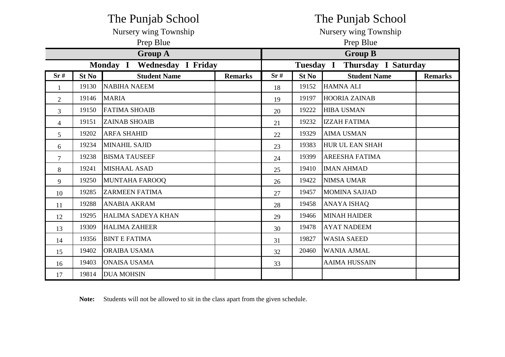|                |                                              | The Punjab School     |                | The Punjab School     |              |                                  |                |  |
|----------------|----------------------------------------------|-----------------------|----------------|-----------------------|--------------|----------------------------------|----------------|--|
|                |                                              | Nursery wing Township |                | Nursery wing Township |              |                                  |                |  |
|                |                                              | Prep Blue             |                |                       | Prep Blue    |                                  |                |  |
|                |                                              | <b>Group A</b>        |                |                       |              | <b>Group B</b>                   |                |  |
|                | <b>Wednesday I Friday</b><br><b>Monday I</b> |                       |                |                       |              | Thursday I Saturday<br>Tuesday I |                |  |
| Sr#            | <b>St No</b>                                 | <b>Student Name</b>   | <b>Remarks</b> | Sr#                   | <b>St No</b> | <b>Student Name</b>              | <b>Remarks</b> |  |
| $\mathbf{1}$   | 19130                                        | <b>NABIHA NAEEM</b>   |                | 18                    | 19152        | <b>HAMNA ALI</b>                 |                |  |
| $\overline{2}$ | 19146                                        | <b>MARIA</b>          |                | 19                    | 19197        | <b>HOORIA ZAINAB</b>             |                |  |
| 3              | 19150                                        | <b>FATIMA SHOAIB</b>  |                | 20                    | 19222        | <b>HIBA USMAN</b>                |                |  |
| 4              | 19151                                        | <b>ZAINAB SHOAIB</b>  |                | 21                    | 19232        | <b>IZZAH FATIMA</b>              |                |  |
| 5              | 19202                                        | <b>ARFA SHAHID</b>    |                | 22                    | 19329        | <b>AIMA USMAN</b>                |                |  |
| 6              | 19234                                        | <b>MINAHIL SAJID</b>  |                | 23                    | 19383        | <b>HUR UL EAN SHAH</b>           |                |  |
| $\tau$         | 19238                                        | <b>BISMA TAUSEEF</b>  |                | 24                    | 19399        | <b>AREESHA FATIMA</b>            |                |  |
| 8              | 19241                                        | <b>MISHAAL ASAD</b>   |                | 25                    | 19410        | <b>IMAN AHMAD</b>                |                |  |
| 9              | 19250                                        | <b>MUNTAHA FAROOQ</b> |                | 26                    | 19422        | <b>NIMSA UMAR</b>                |                |  |
| 10             | 19285                                        | <b>ZARMEEN FATIMA</b> |                | 27                    | 19457        | <b>MOMINA SAJJAD</b>             |                |  |
| 11             | 19288                                        | <b>ANABIA AKRAM</b>   |                | 28                    | 19458        | <b>ANAYA ISHAQ</b>               |                |  |
| 12             | 19295                                        | HALIMA SADEYA KHAN    |                | 29                    | 19466        | <b>MINAH HAIDER</b>              |                |  |
| 13             | 19309                                        | <b>HALIMA ZAHEER</b>  |                | 30                    | 19478        | <b>AYAT NADEEM</b>               |                |  |
| 14             | 19356                                        | <b>BINT E FATIMA</b>  |                | 31                    | 19827        | <b>WASIA SAEED</b>               |                |  |
| 15             | 19402                                        | <b>ORAIBA USAMA</b>   |                | 32                    | 20460        | <b>WANIA AJMAL</b>               |                |  |
| 16             | 19403                                        | <b>ONAISA USAMA</b>   |                | 33                    |              | <b>AAIMA HUSSAIN</b>             |                |  |
| 17             | 19814                                        | <b>DUA MOHSIN</b>     |                |                       |              |                                  |                |  |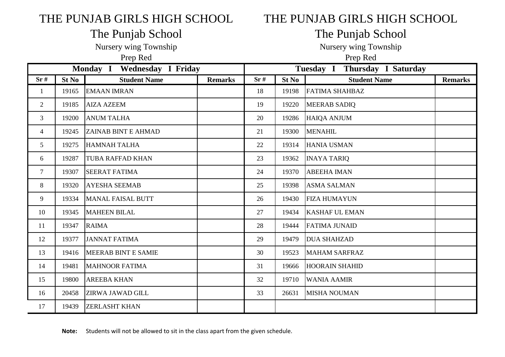## THE PUNJAB GIRLS HIGH SCHOOL THE PUNJAB GIRLS HIGH SCHOOL

## The Punjab School The Punjab School

Nursery wing Township Nursery wing Township

Prep Red Prep Red

| Monday I Wednesday I Friday |       |                            |                |     | Tuesday I Thursday I Saturday |                       |                |  |  |
|-----------------------------|-------|----------------------------|----------------|-----|-------------------------------|-----------------------|----------------|--|--|
| Sr#                         | St No | <b>Student Name</b>        | <b>Remarks</b> | Sr# | St No                         | <b>Student Name</b>   | <b>Remarks</b> |  |  |
| 1                           | 19165 | <b>EMAAN IMRAN</b>         |                | 18  | 19198                         | <b>FATIMA SHAHBAZ</b> |                |  |  |
| $\overline{2}$              | 19185 | <b>AIZA AZEEM</b>          |                | 19  | 19220                         | <b>MEERAB SADIQ</b>   |                |  |  |
| $\overline{3}$              | 19200 | <b>ANUM TALHA</b>          |                | 20  | 19286                         | <b>HAIQA ANJUM</b>    |                |  |  |
| 4                           | 19245 | <b>ZAINAB BINT E AHMAD</b> |                | 21  | 19300                         | <b>MENAHIL</b>        |                |  |  |
| 5                           | 19275 | <b>HAMNAH TALHA</b>        |                | 22  | 19314                         | <b>HANIA USMAN</b>    |                |  |  |
| 6                           | 19287 | <b>TUBA RAFFAD KHAN</b>    |                | 23  | 19362                         | <b>INAYA TARIQ</b>    |                |  |  |
| 7                           | 19307 | <b>SEERAT FATIMA</b>       |                | 24  | 19370                         | <b>ABEEHA IMAN</b>    |                |  |  |
| 8                           | 19320 | <b>AYESHA SEEMAB</b>       |                | 25  | 19398                         | <b>ASMA SALMAN</b>    |                |  |  |
| 9                           | 19334 | <b>MANAL FAISAL BUTT</b>   |                | 26  | 19430                         | <b>FIZA HUMAYUN</b>   |                |  |  |
| 10                          | 19345 | <b>MAHEEN BILAL</b>        |                | 27  | 19434                         | <b>KASHAF UL EMAN</b> |                |  |  |
| 11                          | 19347 | <b>RAIMA</b>               |                | 28  | 19444                         | <b>FATIMA JUNAID</b>  |                |  |  |
| 12                          | 19377 | <b>JANNAT FATIMA</b>       |                | 29  | 19479                         | <b>DUA SHAHZAD</b>    |                |  |  |
| 13                          | 19416 | MEERAB BINT E SAMIE        |                | 30  | 19523                         | <b>MAHAM SARFRAZ</b>  |                |  |  |
| 14                          | 19481 | <b>MAHNOOR FATIMA</b>      |                | 31  | 19666                         | <b>HOORAIN SHAHID</b> |                |  |  |
| 15                          | 19800 | <b>AREEBA KHAN</b>         |                | 32  | 19710                         | <b>WANIA AAMIR</b>    |                |  |  |
| 16                          | 20458 | <b>ZIRWA JAWAD GILL</b>    |                | 33  | 26631                         | <b>MISHA NOUMAN</b>   |                |  |  |
| 17                          | 19439 | <b>ZERLASHT KHAN</b>       |                |     |                               |                       |                |  |  |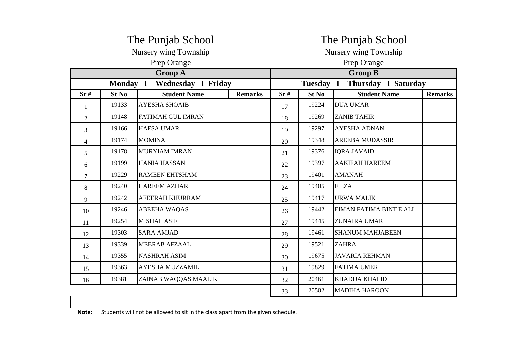|                |          | The Punjab School         |                | The Punjab School     |                     |                         |                |  |  |
|----------------|----------|---------------------------|----------------|-----------------------|---------------------|-------------------------|----------------|--|--|
|                |          | Nursery wing Township     |                | Nursery wing Township |                     |                         |                |  |  |
|                |          | Prep Orange               |                | Prep Orange           |                     |                         |                |  |  |
|                |          | <b>Group A</b>            |                |                       |                     | <b>Group B</b>          |                |  |  |
|                | Monday I | <b>Wednesday I Friday</b> |                | Tuesday I             | Thursday I Saturday |                         |                |  |  |
| Sr#            | St No    | <b>Student Name</b>       | <b>Remarks</b> | Sr#                   | St No               | <b>Student Name</b>     | <b>Remarks</b> |  |  |
| 1              | 19133    | <b>AYESHA SHOAIB</b>      |                | 17                    | 19224               | <b>DUA UMAR</b>         |                |  |  |
| $\overline{2}$ | 19148    | <b>FATIMAH GUL IMRAN</b>  |                | 18                    | 19269               | <b>ZANIB TAHIR</b>      |                |  |  |
| 3              | 19166    | <b>HAFSA UMAR</b>         |                | 19                    | 19297               | <b>AYESHA ADNAN</b>     |                |  |  |
| $\overline{4}$ | 19174    | <b>MOMINA</b>             |                | 20                    | 19348               | <b>AREEBA MUDASSIR</b>  |                |  |  |
| 5              | 19178    | <b>MURYIAM IMRAN</b>      |                | 21                    | 19376               | <b>IQRA JAVAID</b>      |                |  |  |
| 6              | 19199    | <b>HANIA HASSAN</b>       |                | 22                    | 19397               | <b>AAKIFAH HAREEM</b>   |                |  |  |
| $\overline{7}$ | 19229    | <b>RAMEEN EHTSHAM</b>     |                | 23                    | 19401               | <b>AMANAH</b>           |                |  |  |
| 8              | 19240    | <b>HAREEM AZHAR</b>       |                | 24                    | 19405               | <b>FILZA</b>            |                |  |  |
| 9              | 19242    | AFEERAH KHURRAM           |                | 25                    | 19417               | <b>URWA MALIK</b>       |                |  |  |
| 10             | 19246    | <b>ABEEHA WAQAS</b>       |                | 26                    | 19442               | EIMAN FATIMA BINT E ALI |                |  |  |
| 11             | 19254    | <b>MISHAL ASIF</b>        |                | 27                    | 19445               | <b>ZUNAIRA UMAR</b>     |                |  |  |
| 12             | 19303    | <b>SARA AMJAD</b>         |                | 28                    | 19461               | <b>SHANUM MAHJABEEN</b> |                |  |  |
| 13             | 19339    | <b>MEERAB AFZAAL</b>      |                | 29                    | 19521               | <b>ZAHRA</b>            |                |  |  |
| 14             | 19355    | <b>NASHRAH ASIM</b>       |                | 30                    | 19675               | <b>JAVARIA REHMAN</b>   |                |  |  |
| 15             | 19363    | AYESHA MUZZAMIL           |                | 31                    | 19829               | <b>FATIMA UMER</b>      |                |  |  |
| 16             | 19381    | ZAINAB WAQQAS MAALIK      |                | 32                    | 20461               | <b>KHADIJA KHALID</b>   |                |  |  |
|                |          |                           |                | 33                    | 20502               | <b>MADIHA HAROON</b>    |                |  |  |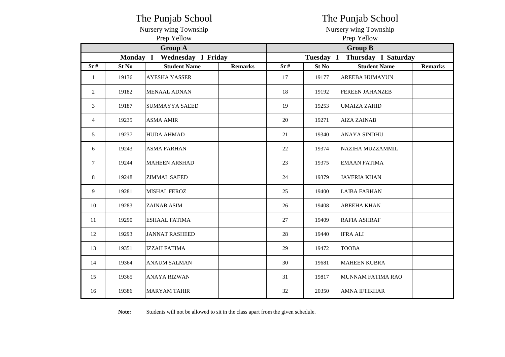|                |          | The Punjab School     |                | The Punjab School     |                                |                        |                |  |  |  |
|----------------|----------|-----------------------|----------------|-----------------------|--------------------------------|------------------------|----------------|--|--|--|
|                |          | Nursery wing Township |                | Nursery wing Township |                                |                        |                |  |  |  |
|                |          | Prep Yellow           |                | Prep Yellow           |                                |                        |                |  |  |  |
|                |          | <b>Group A</b>        |                | <b>Group B</b>        |                                |                        |                |  |  |  |
|                | Monday I | Wednesday I Friday    |                |                       | <b>Tuesday</b><br>$\mathbf{I}$ | Thursday I Saturday    |                |  |  |  |
| Sr#            | St No    | <b>Student Name</b>   | <b>Remarks</b> | Sr#                   | St No                          | <b>Student Name</b>    | <b>Remarks</b> |  |  |  |
| -1             | 19136    | <b>AYESHA YASSER</b>  |                | 17                    | 19177                          | <b>AREEBA HUMAYUN</b>  |                |  |  |  |
| 2              | 19182    | <b>MENAAL ADNAN</b>   |                | 18                    | 19192                          | <b>FEREEN JAHANZEB</b> |                |  |  |  |
| 3              | 19187    | SUMMAYYA SAEED        |                | 19                    | 19253                          | <b>UMAIZA ZAHID</b>    |                |  |  |  |
| $\overline{4}$ | 19235    | <b>ASMA AMIR</b>      |                | 20                    | 19271                          | <b>AIZA ZAINAB</b>     |                |  |  |  |
| 5              | 19237    | <b>HUDA AHMAD</b>     |                | 21                    | 19340                          | <b>ANAYA SINDHU</b>    |                |  |  |  |
| 6              | 19243    | <b>ASMA FARHAN</b>    |                | 22                    | 19374                          | NAZIHA MUZZAMMIL       |                |  |  |  |
| $\tau$         | 19244    | <b>MAHEEN ARSHAD</b>  |                | 23                    | 19375                          | <b>EMAAN FATIMA</b>    |                |  |  |  |
| 8              | 19248    | <b>ZIMMAL SAEED</b>   |                | 24                    | 19379                          | <b>JAVERIA KHAN</b>    |                |  |  |  |
| 9              | 19281    | <b>MISHAL FEROZ</b>   |                | 25                    | 19400                          | <b>LAIBA FARHAN</b>    |                |  |  |  |
| 10             | 19283    | ZAINAB ASIM           |                | 26                    | 19408                          | <b>ABEEHA KHAN</b>     |                |  |  |  |
| 11             | 19290    | <b>ESHAAL FATIMA</b>  |                | 27                    | 19409                          | <b>RAFIA ASHRAF</b>    |                |  |  |  |
| 12             | 19293    | <b>JANNAT RASHEED</b> |                | 28                    | 19440                          | <b>IFRA ALI</b>        |                |  |  |  |
| 13             | 19351    | <b>IZZAH FATIMA</b>   |                | 29                    | 19472                          | <b>TOOBA</b>           |                |  |  |  |
| 14             | 19364    | <b>ANAUM SALMAN</b>   |                | 30                    | 19681                          | <b>MAHEEN KUBRA</b>    |                |  |  |  |
| 15             | 19365    | <b>ANAYA RIZWAN</b>   |                | 31                    | 19817                          | MUNNAM FATIMA RAO      |                |  |  |  |
| 16             | 19386    | <b>MARYAM TAHIR</b>   |                | 32                    | 20350                          | <b>AMNA IFTIKHAR</b>   |                |  |  |  |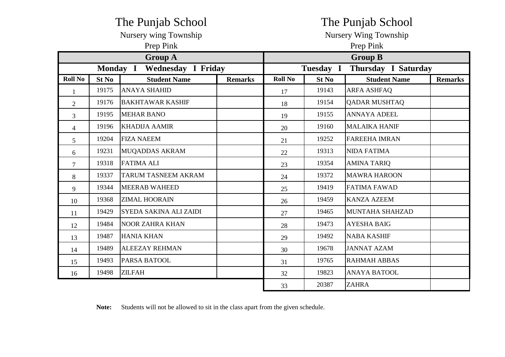|                |                 | The Punjab School         |                | The Punjab School            |           |                      |                |  |  |
|----------------|-----------------|---------------------------|----------------|------------------------------|-----------|----------------------|----------------|--|--|
|                |                 | Nursery wing Township     |                | <b>Nursery Wing Township</b> |           |                      |                |  |  |
|                |                 | Prep Pink                 |                | Prep Pink                    |           |                      |                |  |  |
|                |                 | <b>Group A</b>            |                |                              |           | <b>Group B</b>       |                |  |  |
|                | <b>Monday I</b> | <b>Wednesday I Friday</b> |                |                              | Tuesday I | Thursday I Saturday  |                |  |  |
| <b>Roll No</b> | St No           | <b>Student Name</b>       | <b>Remarks</b> | <b>Roll No</b>               | St No     | <b>Student Name</b>  | <b>Remarks</b> |  |  |
| $\mathbf{1}$   | 19175           | <b>ANAYA SHAHID</b>       |                | 17                           | 19143     | <b>ARFA ASHFAQ</b>   |                |  |  |
| $\overline{2}$ | 19176           | <b>BAKHTAWAR KASHIF</b>   |                | 18                           | 19154     | <b>QADAR MUSHTAQ</b> |                |  |  |
| 3              | 19195           | <b>MEHAR BANO</b>         |                | 19                           | 19155     | <b>ANNAYA ADEEL</b>  |                |  |  |
| $\overline{4}$ | 19196           | <b>KHADIJA AAMIR</b>      |                | 20                           | 19160     | <b>MALAIKA HANIF</b> |                |  |  |
| 5              | 19204           | <b>FIZA NAEEM</b>         |                | 21                           | 19252     | <b>FAREEHA IMRAN</b> |                |  |  |
| 6              | 19231           | <b>MUQADDAS AKRAM</b>     |                | 22                           | 19313     | <b>NIDA FATIMA</b>   |                |  |  |
| $\overline{7}$ | 19318           | <b>FATIMA ALI</b>         |                | 23                           | 19354     | <b>AMINA TARIQ</b>   |                |  |  |
| 8              | 19337           | TARUM TASNEEM AKRAM       |                | 24                           | 19372     | <b>MAWRA HAROON</b>  |                |  |  |
| 9              | 19344           | <b>MEERAB WAHEED</b>      |                | 25                           | 19419     | <b>FATIMA FAWAD</b>  |                |  |  |
| 10             | 19368           | <b>ZIMAL HOORAIN</b>      |                | 26                           | 19459     | <b>KANZA AZEEM</b>   |                |  |  |
| 11             | 19429           | SYEDA SAKINA ALI ZAIDI    |                | 27                           | 19465     | MUNTAHA SHAHZAD      |                |  |  |
| 12             | 19484           | <b>NOOR ZAHRA KHAN</b>    |                | 28                           | 19473     | <b>AYESHA BAIG</b>   |                |  |  |
| 13             | 19487           | <b>HANIA KHAN</b>         |                | 29                           | 19492     | <b>NABA KASHIF</b>   |                |  |  |
| 14             | 19489           | <b>ALEEZAY REHMAN</b>     |                | 30                           | 19678     | <b>JANNAT AZAM</b>   |                |  |  |
| 15             | 19493           | <b>PARSA BATOOL</b>       |                | 31                           | 19765     | <b>RAHMAH ABBAS</b>  |                |  |  |
| 16             | 19498           | <b>ZILFAH</b>             |                | 32                           | 19823     | <b>ANAYA BATOOL</b>  |                |  |  |
|                |                 |                           |                | 33                           | 20387     | <b>ZAHRA</b>         |                |  |  |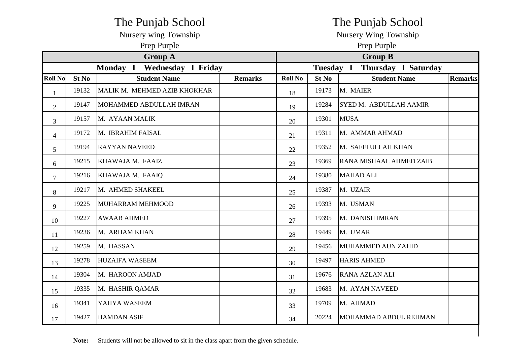|                |       | The Punjab School            |                | The Punjab School                |       |                         |                |  |  |
|----------------|-------|------------------------------|----------------|----------------------------------|-------|-------------------------|----------------|--|--|
|                |       | Nursery wing Township        |                | Nursery Wing Township            |       |                         |                |  |  |
|                |       | Prep Purple                  |                | Prep Purple                      |       |                         |                |  |  |
|                |       | <b>Group A</b>               |                | <b>Group B</b>                   |       |                         |                |  |  |
|                |       | Monday I Wednesday I Friday  |                | Tuesday I<br>Thursday I Saturday |       |                         |                |  |  |
| <b>Roll No</b> | St No | <b>Student Name</b>          | <b>Remarks</b> | <b>Roll No</b>                   | St No | <b>Student Name</b>     | <b>Remarks</b> |  |  |
| $\mathbf{1}$   | 19132 | MALIK M. MEHMED AZIB KHOKHAR |                | 18                               | 19173 | M. MAIER                |                |  |  |
| $\overline{2}$ | 19147 | MOHAMMED ABDULLAH IMRAN      |                | 19                               | 19284 | SYED M. ABDULLAH AAMIR  |                |  |  |
| 3              | 19157 | M. AYAAN MALIK               |                | 20                               | 19301 | <b>MUSA</b>             |                |  |  |
| $\overline{4}$ | 19172 | M. IBRAHIM FAISAL            |                | 21                               | 19311 | M. AMMAR AHMAD          |                |  |  |
| 5              | 19194 | <b>RAYYAN NAVEED</b>         |                | 22                               | 19352 | M. SAFFI ULLAH KHAN     |                |  |  |
| 6              | 19215 | KHAWAJA M. FAAIZ             |                | 23                               | 19369 | RANA MISHAAL AHMED ZAIB |                |  |  |
| $\overline{7}$ | 19216 | KHAWAJA M. FAAIQ             |                | 24                               | 19380 | <b>MAHAD ALI</b>        |                |  |  |
| 8              | 19217 | M. AHMED SHAKEEL             |                | 25                               | 19387 | M. UZAIR                |                |  |  |
| 9              | 19225 | MUHARRAM MEHMOOD             |                | 26                               | 19393 | M. USMAN                |                |  |  |
| 10             | 19227 | <b>AWAAB AHMED</b>           |                | 27                               | 19395 | M. DANISH IMRAN         |                |  |  |
| 11             | 19236 | M. ARHAM KHAN                |                | 28                               | 19449 | M. UMAR                 |                |  |  |
| 12             | 19259 | M. HASSAN                    |                | 29                               | 19456 | MUHAMMED AUN ZAHID      |                |  |  |
| 13             | 19278 | <b>HUZAIFA WASEEM</b>        |                | 30                               | 19497 | <b>HARIS AHMED</b>      |                |  |  |
| 14             | 19304 | M. HAROON AMJAD              |                | 31                               | 19676 | <b>RANA AZLAN ALI</b>   |                |  |  |
| 15             | 19335 | M. HASHIR QAMAR              |                | 32                               | 19683 | M. AYAN NAVEED          |                |  |  |
| 16             | 19341 | YAHYA WASEEM                 |                | 33                               | 19709 | M. AHMAD                |                |  |  |
| 17             | 19427 | <b>HAMDAN ASIF</b>           |                | 34                               | 20224 | MOHAMMAD ABDUL REHMAN   |                |  |  |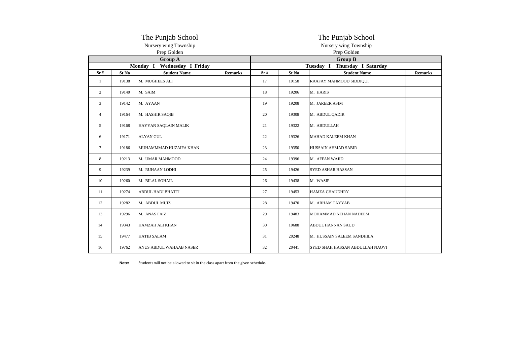|                |       | The Punjab School                    |                | The Punjab School                    |       |                                 |                |  |  |  |
|----------------|-------|--------------------------------------|----------------|--------------------------------------|-------|---------------------------------|----------------|--|--|--|
|                |       | Nursery wing Township<br>Prep Golden |                | Nursery wing Township<br>Prep Golden |       |                                 |                |  |  |  |
|                |       | <b>Group A</b>                       |                | <b>Group B</b>                       |       |                                 |                |  |  |  |
|                |       | Monday I Wednesday I Friday          |                | Tuesday I Thursday I Saturday        |       |                                 |                |  |  |  |
| Sr#            | St No | <b>Student Name</b>                  | <b>Remarks</b> | Sr#                                  | St No | <b>Student Name</b>             | <b>Remarks</b> |  |  |  |
| 1              | 19138 | M. MUGHEES ALI                       |                | 17                                   | 19158 | RAAFAY MAHMOOD SIDDIQUI         |                |  |  |  |
| $\overline{2}$ | 19140 | M. SAIM                              |                | 18                                   | 19206 | M. HARIS                        |                |  |  |  |
| 3              | 19142 | M. AYAAN                             |                | 19                                   | 19208 | M. JAREER ASIM                  |                |  |  |  |
| $\overline{4}$ | 19164 | M. HASHIR SAQIB                      |                | 20                                   | 19308 | M. ABDUL QADIR                  |                |  |  |  |
| 5              | 19168 | HAYYAN SAQLAIN MALIK                 |                | 21                                   | 19322 | M. ABDULLAH                     |                |  |  |  |
| 6              | 19171 | <b>ALYAN GUL</b>                     |                | 22                                   | 19326 | MAHAD KALEEM KHAN               |                |  |  |  |
| 7              | 19186 | MUHAMMMAD HUZAIFA KHAN               |                | 23                                   | 19350 | HUSSAIN AHMAD SABIR             |                |  |  |  |
| 8              | 19213 | M. UMAR MAHMOOD                      |                | 24                                   | 19396 | M. AFFAN WAJID                  |                |  |  |  |
| 9              | 19239 | M. RUHAAN LODHI                      |                | 25                                   | 19426 | <b>SYED ASHAR HASSAN</b>        |                |  |  |  |
| 10             | 19260 | M. BILAL SOHAIL                      |                | 26                                   | 19438 | M. WASIF                        |                |  |  |  |
| 11             | 19274 | <b>ABDUL HADI BHATTI</b>             |                | 27                                   | 19453 | <b>HAMZA CHAUDHRY</b>           |                |  |  |  |
| 12             | 19282 | M. ABDUL MUIZ                        |                | 28                                   | 19470 | M. ARHAM TAYYAB                 |                |  |  |  |
| 13             | 19296 | M. ANAS FAIZ                         |                | 29                                   | 19483 | MOHAMMAD NEHAN NADEEM           |                |  |  |  |
| 14             | 19343 | <b>HAMZAH ALI KHAN</b>               |                | 30                                   | 19688 | ABDUL HANNAN SAUD               |                |  |  |  |
| 15             | 19477 | <b>HATIB SALAM</b>                   |                | 31                                   | 20248 | M. HUSSAIN SALEEM SANDHILA      |                |  |  |  |
| 16             | 19762 | ANUS ABDUL WAHAAB NASER              |                | 32                                   | 20441 | SYED SHAH HASSAN ABDULLAH NAQVI |                |  |  |  |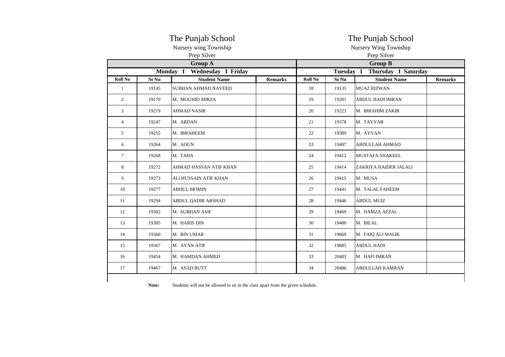|                |       | The Punjab School<br>Nursery wing Township<br>Prep Silver | The Punjab School<br>Nursery Wing Township<br>Prep Silver |         |                |                                       |  |
|----------------|-------|-----------------------------------------------------------|-----------------------------------------------------------|---------|----------------|---------------------------------------|--|
|                |       | <b>Group A</b>                                            |                                                           |         | <b>Group B</b> |                                       |  |
|                |       | Monday I<br>Wednesday I Friday                            |                                                           |         |                | Tuesday I Thursday I Saturday         |  |
| <b>Roll No</b> | St No | <b>Student Name</b>                                       | <b>Remarks</b>                                            | Roll No | St No          | <b>Student Name</b><br><b>Remarks</b> |  |
| 1              | 19145 | <b>SUBHAN AHMAD NAVEED</b>                                |                                                           | 18      | 19135          | <b>MUAZ RIZWAN</b>                    |  |
| $\overline{2}$ | 19170 | M. MOUHID MIRZA                                           |                                                           | 19      | 19201          | <b>ABDUL HADI IMRAN</b>               |  |
| 3              | 19219 | <b>AHMAD NASIR</b>                                        |                                                           | 20      | 19223          | M. IBRAHIM ZAKIR                      |  |
| $\overline{4}$ | 19247 | M. ABDAN                                                  |                                                           | 21      | 19378          | M. TAYYAB                             |  |
| 5              | 19255 | M. IBRAHEEM                                               |                                                           | 22      | 19389          | M. AYYAN                              |  |
| 6              | 19264 | M. AOUN                                                   |                                                           | 23      | 19407          | <b>ABDULLAH AHMAD</b>                 |  |
| $\overline{7}$ | 19268 | M. TAHA                                                   |                                                           | 24      | 19412          | <b>MUSTAFA SHAKEEL</b>                |  |
| 8              | 19272 | AHMAD HASSAN ATIF KHAN                                    |                                                           | 25      | 19414          | ZAKRIYA HAIDER JALALI                 |  |
| 9              | 19273 | ALI HUSSAIN ATIF KHAN                                     |                                                           | 26      | 19415          | M. MUSA                               |  |
| 10             | 19277 | <b>ABDUL MOMIN</b>                                        |                                                           | 27      | 19441          | M. TALAL FAHEEM                       |  |
| 11             | 19294 | ABDUL QADIR ARSHAD                                        |                                                           | 28      | 19446          | <b>ABDUL MUIZ</b>                     |  |
| 12             | 19302 | M. SUBHAN ASIF                                            |                                                           | 29      | 19469          | M. HAMZA AFZAL                        |  |
| 13             | 19305 | M. HARIS DIN                                              |                                                           | 30      | 19480          | M. BILAL                              |  |
| 14             | 19360 | M. BIN UMAR                                               |                                                           | 31      | 19669          | M. FAIQ ALI MALIK                     |  |
| 15             | 19367 | M. AYAN ATIF                                              |                                                           | 32      | 19685          | <b>ABDUL HADI</b>                     |  |
| 16             | 19454 | M. HAMDAN AHMED                                           |                                                           | 33      | 20403          | M. HAFI IMRAN                         |  |
| 17             | 19467 | M. ASAD BUTT                                              |                                                           | 34      | 20486          | <b>ABDULLAH KAMRAN</b>                |  |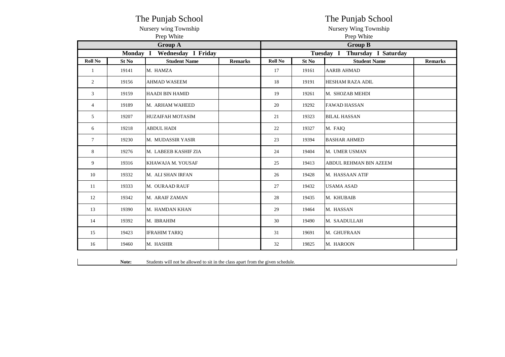|                 |          | The Punjab School       |                | The Punjab School     |       |                                  |                |  |  |  |
|-----------------|----------|-------------------------|----------------|-----------------------|-------|----------------------------------|----------------|--|--|--|
|                 |          | Nursery wing Township   |                | Nursery Wing Township |       |                                  |                |  |  |  |
|                 |          | Prep White              |                | Prep White            |       |                                  |                |  |  |  |
|                 |          | <b>Group A</b>          |                |                       |       | <b>Group B</b>                   |                |  |  |  |
|                 | Monday I | Wednesday I Friday      |                |                       |       | Tuesday I<br>Thursday I Saturday |                |  |  |  |
| <b>Roll No</b>  | St No    | <b>Student Name</b>     | <b>Remarks</b> | Roll No               | St No | <b>Student Name</b>              | <b>Remarks</b> |  |  |  |
| 1               | 19141    | M. HAMZA                |                | 17                    | 19161 | <b>AARIB AHMAD</b>               |                |  |  |  |
| 2               | 19156    | <b>AHMAD WASEEM</b>     |                | 18                    | 19191 | <b>HESHAM RAZA ADIL</b>          |                |  |  |  |
| 3               | 19159    | <b>HAADI BIN HAMID</b>  |                | 19                    | 19261 | M. SHOZAB MEHDI                  |                |  |  |  |
| $\overline{4}$  | 19189    | M. ARHAM WAHEED         |                | 20                    | 19292 | <b>FAWAD HASSAN</b>              |                |  |  |  |
| 5               | 19207    | <b>HUZAIFAH MOTASIM</b> |                | 21                    | 19323 | <b>BILAL HASSAN</b>              |                |  |  |  |
| 6               | 19218    | <b>ABDUL HADI</b>       |                | 22                    | 19327 | M. FAIQ                          |                |  |  |  |
| $7\phantom{.0}$ | 19230    | M. MUDASSIR YASIR       |                | 23                    | 19394 | <b>BASHAR AHMED</b>              |                |  |  |  |
| 8               | 19276    | M. LABEEB KASHIF ZIA    |                | 24                    | 19404 | M. UMER USMAN                    |                |  |  |  |
| 9               | 19316    | KHAWAJA M. YOUSAF       |                | 25                    | 19413 | ABDUL REHMAN BIN AZEEM           |                |  |  |  |
| 10              | 19332    | M. ALI SHAN IRFAN       |                | 26                    | 19428 | M. HASSAAN ATIF                  |                |  |  |  |
| 11              | 19333    | M. OURAAD RAUF          |                | 27                    | 19432 | <b>USAMA ASAD</b>                |                |  |  |  |
| 12              | 19342    | M. ARAIF ZAMAN          |                | 28                    | 19435 | M. KHUBAIB                       |                |  |  |  |
| 13              | 19390    | M. HAMDAN KHAN          |                | 29                    | 19464 | M. HASSAN                        |                |  |  |  |
| 14              | 19392    | M. IBRAHIM              |                | 30                    | 19490 | M. SAADULLAH                     |                |  |  |  |
| 15              | 19423    | <b>IFRAHIM TARIQ</b>    |                | 31                    | 19691 | M. GHUFRAAN                      |                |  |  |  |
| 16              | 19460    | M. HASHIR               |                | 32                    | 19825 | M. HAROON                        |                |  |  |  |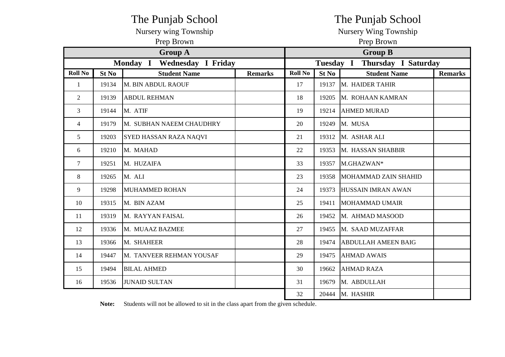|                |       | The Punjab School                     |                | The Punjab School     |                               |                            |                |  |  |
|----------------|-------|---------------------------------------|----------------|-----------------------|-------------------------------|----------------------------|----------------|--|--|
|                |       | Nursery wing Township                 |                | Nursery Wing Township |                               |                            |                |  |  |
|                |       | Prep Brown                            |                | Prep Brown            |                               |                            |                |  |  |
|                |       | <b>Group A</b>                        |                |                       |                               | <b>Group B</b>             |                |  |  |
|                |       | Monday I<br><b>Wednesday I Friday</b> |                |                       | Tuesday I Thursday I Saturday |                            |                |  |  |
| <b>Roll No</b> | St No | <b>Student Name</b>                   | <b>Remarks</b> | <b>Roll No</b>        | St <sub>No</sub>              | <b>Student Name</b>        | <b>Remarks</b> |  |  |
| $\mathbf{1}$   | 19134 | M. BIN ABDUL RAOUF                    |                | 17                    | 19137                         | M. HAIDER TAHIR            |                |  |  |
| $\mathfrak{2}$ | 19139 | <b>ABDUL REHMAN</b>                   |                | 18                    | 19205                         | M. ROHAAN KAMRAN           |                |  |  |
| 3              | 19144 | M. ATIF                               |                | 19                    | 19214                         | <b>AHMED MURAD</b>         |                |  |  |
| $\overline{4}$ | 19179 | M. SUBHAN NAEEM CHAUDHRY              |                | 20                    | 19249                         | M. MUSA                    |                |  |  |
| 5              | 19203 | <b>SYED HASSAN RAZA NAQVI</b>         |                | 21                    | 19312                         | M. ASHAR ALI               |                |  |  |
| 6              | 19210 | M. MAHAD                              |                | 22                    | 19353                         | M. HASSAN SHABBIR          |                |  |  |
| $\overline{7}$ | 19251 | M. HUZAIFA                            |                | 33                    | 19357                         | M.GHAZWAN*                 |                |  |  |
| 8              | 19265 | M. ALI                                |                | 23                    | 19358                         | MOHAMMAD ZAIN SHAHID       |                |  |  |
| 9              | 19298 | <b>MUHAMMED ROHAN</b>                 |                | 24                    | 19373                         | <b>HUSSAIN IMRAN AWAN</b>  |                |  |  |
| 10             | 19315 | M. BIN AZAM                           |                | 25                    | 19411                         | <b>MOHAMMAD UMAIR</b>      |                |  |  |
| 11             | 19319 | M. RAYYAN FAISAL                      |                | 26                    | 19452                         | M. AHMAD MASOOD            |                |  |  |
| 12             | 19336 | M. MUAAZ BAZMEE                       |                | 27                    | 19455                         | M. SAAD MUZAFFAR           |                |  |  |
| 13             | 19366 | M. SHAHEER                            |                | 28                    | 19474                         | <b>ABDULLAH AMEEN BAIG</b> |                |  |  |
| 14             | 19447 | M. TANVEER REHMAN YOUSAF              |                | 29                    | 19475                         | <b>AHMAD AWAIS</b>         |                |  |  |
| 15             | 19494 | <b>BILAL AHMED</b>                    |                | 30                    | 19662                         | <b>AHMAD RAZA</b>          |                |  |  |
| 16             | 19536 | <b>JUNAID SULTAN</b>                  |                | 31                    | 19679                         | M. ABDULLAH                |                |  |  |
|                |       |                                       |                | 32                    | 20444                         | M. HASHIR                  |                |  |  |